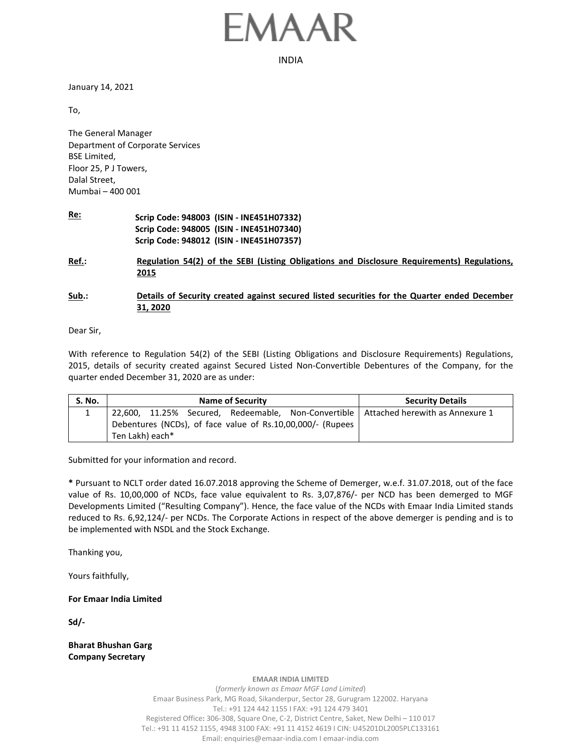## MAAR

INDIA

January 14, 2021

To,

The General Manager Department of Corporate Services BSE Limited, Floor 25, P J Towers, Dalal Street, Mumbai – 400 001

**Re: Scrip Code: 948003 (ISIN - INE451H07332) Scrip Code: 948005 (ISIN - INE451H07340) Scrip Code: 948012 (ISIN - INE451H07357)**

**Ref.: Regulation 54(2) of the SEBI (Listing Obligations and Disclosure Requirements) Regulations, 2015**

**Sub.: Details of Security created against secured listed securities for the Quarter ended December 31, 2020**

Dear Sir,

With reference to Regulation 54(2) of the SEBI (Listing Obligations and Disclosure Requirements) Regulations, 2015, details of security created against Secured Listed Non-Convertible Debentures of the Company, for the quarter ended December 31, 2020 are as under:

| <b>S. No.</b> | <b>Name of Security</b>                                                               | <b>Security Details</b> |  |  |
|---------------|---------------------------------------------------------------------------------------|-------------------------|--|--|
|               | 22,600, 11.25% Secured, Redeemable, Non-Convertible   Attached herewith as Annexure 1 |                         |  |  |
|               | Debentures (NCDs), of face value of Rs.10,00,000/- (Rupees                            |                         |  |  |
|               | Ten Lakh) each*                                                                       |                         |  |  |

Submitted for your information and record.

**\*** Pursuant to NCLT order dated 16.07.2018 approving the Scheme of Demerger, w.e.f. 31.07.2018, out of the face value of Rs. 10,00,000 of NCDs, face value equivalent to Rs. 3,07,876/- per NCD has been demerged to MGF Developments Limited ("Resulting Company"). Hence, the face value of the NCDs with Emaar India Limited stands reduced to Rs. 6,92,124/- per NCDs. The Corporate Actions in respect of the above demerger is pending and is to be implemented with NSDL and the Stock Exchange.

Thanking you,

Yours faithfully,

**For Emaar India Limited**

**Sd/-**

**Bharat Bhushan Garg Company Secretary**

**EMAAR INDIA LIMITED**

(*formerly known as Emaar MGF Land Limited*) Emaar Business Park, MG Road, Sikanderpur, Sector 28, Gurugram 122002. Haryana Tel.: +91 124 442 1155 I FAX: +91 124 479 3401 Registered Office**:** 306-308, Square One, C-2, District Centre, Saket, New Delhi – 110 017 Tel.: +91 11 4152 1155, 4948 3100 FAX: +91 11 4152 4619 I CIN: U45201DL2005PLC133161 Email: enquiries@emaar-india.com I emaar-india.com